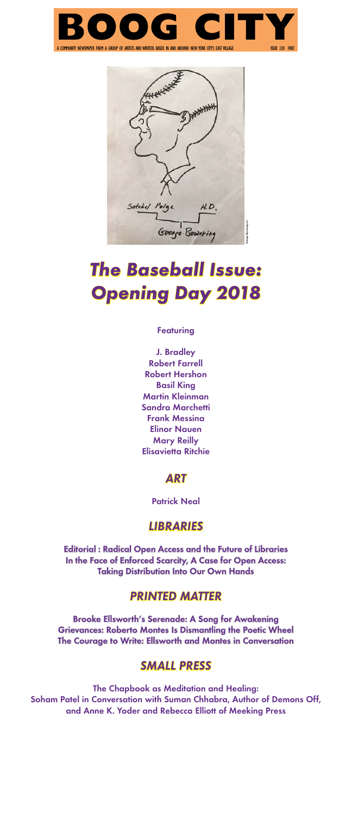# *The Baseball Issue: Opening Day 2018*

**Featuring** 

J. Bradley Robert Farrell Robert Hershon Basil King Martin Kleinman Sandra Marchetti Frank Messina Elinor Nauen Mary Reilly Elisavietta Ritchie

## *ART*

Patrick Neal

# *LIBRARIES*

Editorial : Radical Open Access and the Future of Libraries In the Face of Enforced Scarcity, A Case for Open Access: Taking Distribution Into Our Own Hands

## *PRINTED MATTER*

Brooke Ellsworth's Serenade: A Song for Awakening Grievances: Roberto Montes Is Dismantling the Poetic Wheel The Courage to Write: Ellsworth and Montes in Conversation

## *SMALL PRESS*

The Chapbook as Meditation and Healing: Soham Patel in Conversation with Suman Chhabra, Author of Demons Off, and Anne K. Yoder and Rebecca Elliott of Meeking Press



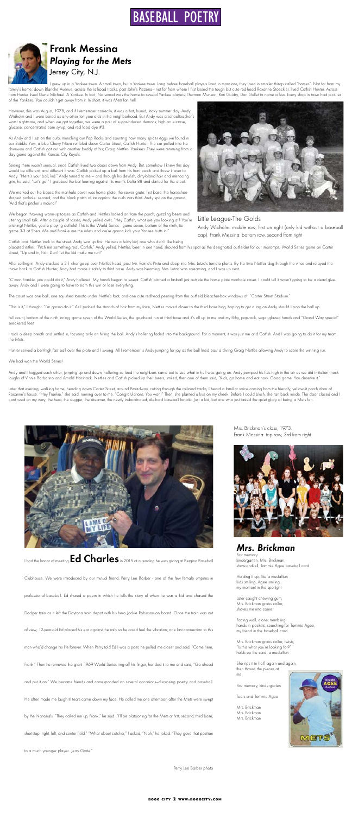

## Frank Messina *Playing for the Mets*  Jersey City, N.J.

I grew up in a Yankee town. A small town, but a Yankee town. Long before baseball players lived in mansions, they lived in smaller things called "homes". Not far from my family's home; down Blanche Avenue, across the railroad tracks, past John's Pizzeria— not far from where I first kissed the tough but cute red-head Roxanne Stoeckler, lived Catfish Hunter. Across from Hunter lived Gene Michael. A Yankee. In fact, Norwood was the home to several Yankee players; Thurmon Munson, Ron Guidry, Don Gullet to name a few. Every shop in town had pictures of the Yankees. You couldn't get away from it. In short, it was Mets fan hell.

However, this was August, 1978, and if I remember correctly, it was a hot, humid, sticky summer day. Andy Widholm and I were bored as any other ten year-olds in the neighborhood. But Andy was a schoolteacher's worst nightmare, and when we got together, we were a pair of sugar-induced demons; high on sucrose, glucose, concentrated corn syrup, and red food dye #3.

As Andy and I sat on the curb, munching our Pop Rocks and counting how many spider eggs we found in our Bubble Yum, a blue Chevy Nova rumbled down Carter Street; Catfish Hunter. The car pulled into the driveway and Catfish got out with another buddy of his; Graig Nettles. Yankees. They were returning from a day game against the Kansas City Royals.

After settling in, Andy cracked a 2-1 change-up over Nettles head, past Mr. Rainie's Pinto and deep into Mrs. Lutzo's tomato plants. By the time Nettles dug through the vines and relayed the throw back to Catfish Hunter, Andy had made it safely to third base. Andy was beaming, Mrs. Lutzo was screaming, and I was up next.

Seeing them wasn't unusual, since Catfish lived two doors down from Andy. But, somehow I knew this day would be different; and different it was. Catfish picked up a ball from his front porch and threw it over to Andy. "Here's your ball, kid." Andy turned to me — and through his devilish, dirty-blond hair and menacing grin, he said, "Let's go!" I grabbed the bat leaning against his mom's Delta 88 and darted for the street.

"C'mon Frankie, you could do it," Andy hollered. My hands began to sweat. Catfish pitched a fastball just outside the home plate manhole cover. I could tell it wasn't going to be a dead giveaway. Andy and I were going to have to earn this win or lose everything.

We marked out the bases; the manhole cover was home plate, the sewer grate: first base; the horseshoeshaped pothole: second; and the black patch of tar against the curb was third. Andy spit on the ground, "And that's pitcher's mound!"

Full count, bottom of the ninth inning, game seven of the World Series, the go-ahead run at third base and it's all up to me and my filthy, pop-rock, sugar-glazed hands and "Grand Way special" sneakered feet.

I took a deep breath and settled in, focusing only on hitting the ball. Andy's hollering faded into the background. For a moment, it was just me and Catfish. And I was going to do it for my team, the Mets.

We began throwing warm-up tosses as Catfish and Nettles looked on from the porch, guzzling beers and uttering small talk. After a couple of tosses, Andy yelled over, "Hey Catfish, what are you looking at? You're pitching! Nettles, you're playing outfield! This is the World Series— game seven, bottom of the ninth, tie game 3-3 at Shea. Me and Frankie are the Mets and we're gonna kick your Yankee butts in!"



Catfish and Nettles took to the street. Andy was up first. He was a feisty kid; one who didn't like being

Later that evening, walking home, heading down Carter Street, around Broadway, cutting through the railroad tracks, I heard a familiar voice coming from the friendly, yellow-lit porch door of Roxanne's house. "Hey Frankie," she said, running over to me. "Congratulations. You won!" Then, she planted a kiss on my cheek. Before I could blush, she ran back inside. The door closed and I continued on my way; the hero, the slugger, the dreamer, the newly indoctrinated, die-hard baseball fanatic. Just a kid, but one who just tasted the quiet glory of being a Mets fan.



placated either. "Pitch me something real, Catfish," Andy yelled. Nettles, beer in one hand, shouted from his spot as the designated outfielder for our impromptu World Series game on Carter Street, "Up and in, Fish. Don't let the kid make me run!"

The count was one ball, one squished tomato under Nettle's foot, and one cute redhead peering from the outfield bleacher-box windows of "Carter Street Stadium."

"This is it," I thought. "I'm gonna do it." As I pushed the strands of hair from my face, Nettles moved closer to the third base bag, hoping to get a tag on Andy should I pop the ball up.

Hunter served a belt-high fast ball over the plate and I swung. All I remember is Andy jumping for joy as the ball lined past a diving Graig Nettles allowing Andy to score the winning run.

We had won the World Series!

Andy and I hugged each other, jumping up and down, hollering so loud the neighbors came out to see what in hell was going on. Andy pumped his fists high in the air as we did imitation mock laughs of Vinnie Barbarino and Arnold Horshack. Nettles and Catfish picked up their beers, smiled, then one of them said, "Kids, go home and eat now. Good game. You deserve it."

### Little League-The Golds

Andy Widholm: middle row, first on right (only kid without a baseball cap). Frank Messina: bottom row, second from right

### *Mrs. Brickman*

First memory: kindergarten, Mrs. Brickman, show-and-tell, Tommie Agee baseball card

Holding it up, like a medallion kids smiling, Agee smiling, my moment in the spotlight

Later caught chewing gum, Mrs. Brickman grabs collar, shoves me into corner

Facing wall, alone, trembling hands in pockets, searching for Tommie Agee, my friend in the baseball card

Mrs. Brickman grabs collar, twists, "Is this what you're looking for?" holds up the card, a medallion

She rips it in half, again and again, then throws the pieces at me

First memory, kindergarten

Tears and Tommie Agee

Mrs. Brickman Mrs. Brickman Mrs. Brickman



Mrs. Brickman's class, 1973. Frank Messina: top row, 3rd from right



I had the honor of meeting Ed Charles in 2015 at a reading he was giving at Bergino Baseball Clubhouse. We were introduced by our mutual friend, Perry Lee Barber - one of the few female umpires in professional baseball. Ed shared a poem in which he tells the story of when he was a kid and chased the Dodger train as it left the Daytona train depot with his hero Jackie Robinson on board. Once the train was out of view, 12-year-old Ed placed his ear against the rails so he could feel the vibration; one last connection to this man who'd change his life forever. When Perry told Ed I was a poet, he pulled me closer and said, "Come here, Frank." Then he removed the giant 1969 World Series ring off his finger, handed it to me and said, "Go ahead and put it on." We became friends and corresponded on several occasions—discussing poetry and baseball. He often made me laugh til tears came down my face. He called me one afternoon after the Mets were swept by the Nationals. "They called me up, Frank," he said. "I'll be platooning for the Mets at first, second, third base, shortstop, right, left, and center field." "What about catcher," I asked. "Nah," he joked. "They gave that position to a much younger player...Jerry Grote."

Perry Lee Barber photo

 **boog city 2 www.boogcity.com**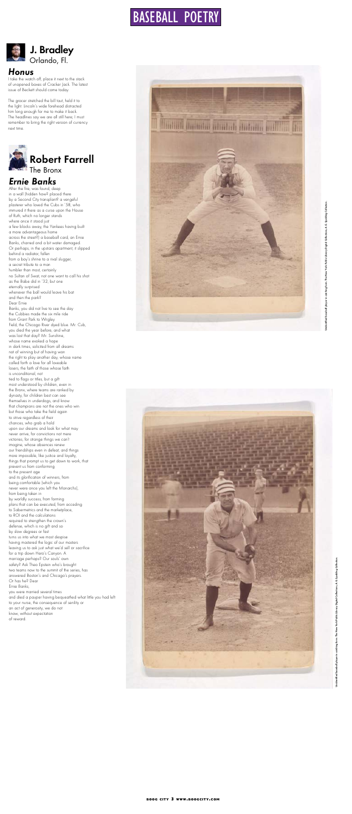

### *Honus*

I take the watch off, place it next to the stack of unopened boxes of Cracker Jack. The latest issue of Beckett should come today.

The grocer stretched the bill taut, held it to the light. Lincoln's wide forehead distracted him long enough for me to make it back. The headlines say we are all still here; I must remember to bring the right version of currency next time.



## *Ernie Banks*



After the fire, was found, deep in a wall (hidden how? placed there by a Second City transplant? a vengeful plasterer who loved the Cubs in '58, who immured it there as a curse upon the House of Ruth, which no longer stands where once it stood just a few blocks away, the Yankees having built a more advantageous home across the street?) a baseball card, an Ernie Banks, charred and a bit water damaged. Or perhaps, in the upstairs apartment, it slipped behind a radiator, fallen from a boy's shrine to a rival slugger, a secret tribute to a man humbler than most, certainly no Sultan of Swat, not one wont to call his shot as the Babe did in '32, but one eternally surprised whenever the ball would leave his bat and then the park? Dear Ernie Banks, you did not live to see the day the Cubbies made the six mile ride from Grant Park to Wrigley Field, the Chicago River dyed blue. Mr. Cub, you died the year before, and what was lost that day? Mr. Sunshine, whose name evoked a hope in dark times, solicited from all dreams not of winning but of having won the right to play another day, whose name called forth a love for all loveable losers, the faith of those whose faith is unconditional, not tied to flags or titles, but a gift most understood by children, even in the Bronx, where teams are ranked by dynasty, for children best can see themselves in underdogs, and know that champions are not the ones who win but those who take the field again to strive regardless of their chances, who grab a hold upon our dreams and look for what may never arrive, for convictions not mere victories, for strange things we can't imagine, whose absences renew our friendships even in defeat, and things more impossible, like justice and loyalty, things that prompt us to get down to work, that prevent us from conforming to the present age and its glorification of winners, from being comfortable (which you never were once you left the Monarchs), from being taken in by worldly success, from forming plans that can be executed, from acceding to Sabermetrics and the marketplace, to ROI and the calculations required to strengthen the crown's defense, which is no gift and so by slow degrees or fast turns us into what we most despise having mastered the logic of our masters leaving us to ask just what we'd sell or sacrifice for a trip down Hero's Canyon. A marriage perhaps? Our souls' own safety? Ask Theo Epstein who's brought two teams now to the summit of the series, has answered Boston's and Chicago's prayers. Or has he? Dear Ernie Banks, you were married several times and died a pauper having bequeathed what little you had left to your nurse, the consequence of senility or an act of generosity, we do not know, without expectation of reward.

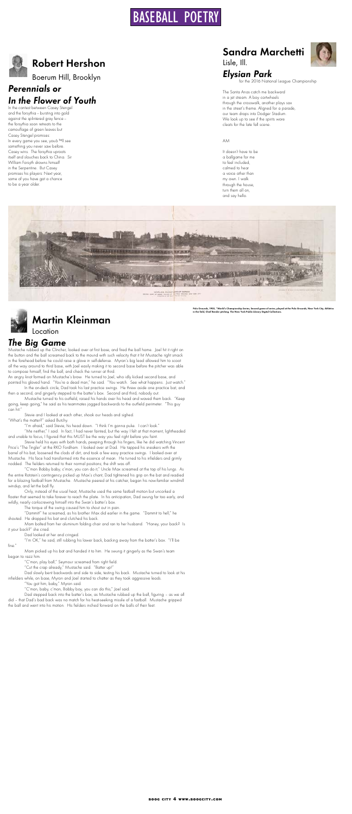# Robert Hershon

Boerum Hill, Brooklyn

## *Perennials or In the Flower of Youth*

In the contest between Casey Stengel and the forsythia - bursting into gold against the splintered gray fence - the forsythia soon retreats to the camouflage of green leaves but Casey Stengel promises: In every game you see, youâ<sup>evill</sup> see something you never saw before. Casey wins. The forsythia uproots itself and slouches back to China. Sir William Forsyth drowns himself in the Serpentine. But Casey promises his players: Next year, some of you have got a chance to be a year older.



### *The Big Game*

Mustache rubbed up the Clincher, looked over at first base, and fired the ball home. Joel hit it right on the button and the ball screamed back to the mound with such velocity that it hit Mustache right smack in the forehead before he could raise a glove in self-defense. Myron's big lead allowed him to scoot all the way around to third base, with Joel easily making it to second base before the pitcher was able to compose himself, find the ball, and check the runner at third.

An angry knot formed on Mustache's brow. He turned to Joel, who idly kicked second base, and pointed his gloved hand. "You're a dead man," he said. "You watch. See what happens. Just watch." In the on-deck circle, Dad took his last practice swings. He threw aside one practice bat, and

then a second, and gingerly stepped to the batter's box. Second and third, nobody out.

Mustache turned to his outfield, raised his hands over his head and waved them back. "Keep going, keep going," he said as his teammates jogged backwards to the outfield perimeter. "This guy

can hit.

Stevie and I looked at each other, shook our heads and sighed. "What's the matter?" asked Butchy.

"I'm afraid," said Stevie, his head down. "I think I'm gonna puke. I can't look."

"Me neither," I said. In fact, I had never fainted, but the way I felt at that moment, lightheaded and unable to focus, I figured that this MUST be the way you feel right before you faint.

Stevie held his eyes with both hands, peeping through his fingers, like he did watching Vincent Price's "The Tingler" at the RKO Fordham. I looked over at Dad. He tapped his sneakers with the barrel of his bat, loosened the clods of dirt, and took a few easy practice swings. I looked over at Mustache. His face had transformed into the essence of mean. He turned to his infielders and grimly nodded. The fielders returned to their normal positions; the shift was off.

"C'mon Bobby baby, c'mon, you can do it," Uncle Max screamed at the top of his lungs. As the entire Rotstein's contingency picked up Max's chant, Dad tightened his grip on the bat and readied for a blazing fastball from Mustache. Mustache peered at his catcher, began his now-familiar windmill windup, and let the ball fly.

Only, instead of the usual heat, Mustache used the same fastball motion but uncorked a floater that seemed to take forever to reach the plate. In his anticipation, Dad swung far too early, and wildly, nearly corkscrewing himself into the Swan's batter's box.

The torque of the swing caused him to shout out in pain.

"Dammit!" he screamed, as his brother Max did earlier in the game. "Dammit to hell," he shouted. He dropped his bat and clutched his back.

Mom bolted from her aluminum folding chair and ran to her husband. "Honey, your back? Is it your back?" she cried.

Dad looked at her and cringed.

"I'm OK," he said, still rubbing his lower back, backing away from the batter's box. "I'll be fine."

Mom picked up his bat and handed it to him. He swung it gingerly as the Swan's team began to razz him.

"C'mon, play ball," Seymour screamed from right field.

"Cut the crap already," Mustache said. "Batter up!"

Dad slowly bent backwards and side to side, testing his back. Mustache turned to look at his infielders while, on base, Myron and Joel started to chatter as they took aggressive leads.

"You got him, baby," Myron said.

"C'mon, baby, c'mon, Bobby boy, you can do this," Joel said.

Dad stepped back into the batter's box, as Mustache rubbed up the ball, figuring – as we all did – that Dad's bad back was no match for his heat-seeking missile of a fastball. Mustache gripped the ball and went into his motion. His fielders inched forward on the balls of their feet.

## Sandra Marchetti



## *Elysian Park*



The Santa Anas catch me backward in a jet stream. A boy cartwheels through the crosswalk, another plays sax in the street's theme. Aligned for a parade, our team drops into Dodger Stadium. We look up to see if the spirits wore cleats for the late fall scene.

### AM

It doesn't have to be a ballgame for me to feel included, calmed to hear a voice other than my own. I walk through the house, turn them all on, and say hello.



Polo Grounds, 1905, "World's Championship Series, Second game of series, played at the Polo Grounds, New York City, Athletics<br>in the field, Chief Bender pitching. The New York Public Library Digital Collections.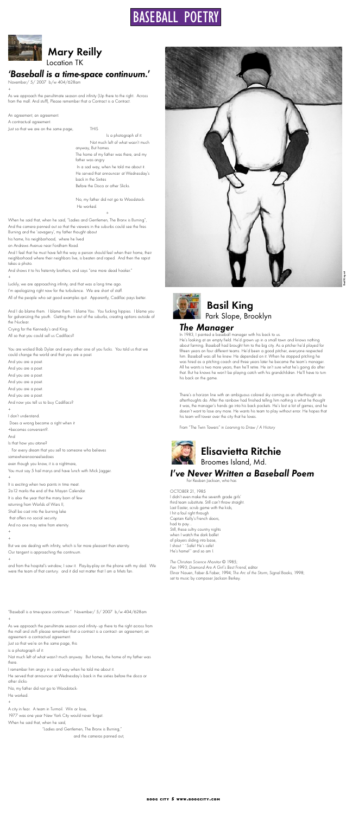

## Basil King Park Slope, Brooklyn

## *The Manager*

In 1983, I painted a baseball manager with his back to us.

He's looking at an empty field. He'd grown up in a small town and knows nothing about farming. Baseball had brought him to the big city. As a pitcher he'd played for fifteen years on four different teams. He'd been a good pitcher, everyone respected him. Baseball was all he knew. He depended on it. When he stopped pitching he was hired as a pitching coach and three years later he became the team's manager. All he wants is two more years, then he'll retire. He isn't sure what he's going do after that. But he knows he won't be playing catch with his grandchildren. He'll have to turn his back on the game.

There's a horizon line with an ambiguous colored sky coming as an afterthought as afterthoughts do. After the rainbow had finished telling him nothing is what he thought it was, the manager's hands go into his back pockets. He's lost a lot of games, and he doesn't want to lose any more. He wants his team to play without error. He hopes that his team will tower over the city that he loves.

From "The Twin Towers" in *Learning to Draw / A History*



 Mary Reilly Location TK

*'Baseball is a time-space continuum.'*

November/ 5/ 2007 b/w 404/628am

+

As we approach the penultimate season and infinity (Up there to the right. Across from the mall. And stuff), Please remember that a Contract is a Contract.

An agreement, an agreement.

A contractual agreement.

Just so that we are on the same page, THIS

Is a photograph of it: Not much left of what wasn't much anyway, But homes.

The home of my father was there, and my father was angry

 In a sad way, when he told me about it. He served that announcer at Wednesday's back in the Sixties Before the Disco or other Slicks.

No, my father did not go to Woodstock- He worked.

+

When he said that, when he said, "Ladies and Gentlemen, The Bronx is Burning", And the camera panned out so that the viewers in the suburbs could see the fires Burning and the 'savagery', my father thought about

his home, his neighborhood, where he lived

on Andrews Avenue near Fordham Road.

And I feel that he must have felt the way a person should feel when their home, their neighborhood where their neighbors live, is beaten and raped. And then the rapist takes a photo.

And shows it to his fraternity brothers, and says "one more dead hooker."

+

Luckily, we are approaching infinity, and that was a long time ago.

I'm apologizing right now for the turbulence. We are short of staff.

All of the people who set good examples quit. Apparently, Cadillac pays better.

And I do blame them. I blame them. I blame You. You fucking hippies. I blame you for galvanizing the youth. Getting them out of the suburbs, creating options outside of the Nuclear.

Crying for the Kennedy's and King.

All so that you could sell us Cadillacs?

You are wicked Bob Dylan and every other one of you fucks. You told us that we could change the world and that you are a poet.

And you are a poet.

And you are a poet.

And you are a poet.

And you are a poet.

And you are a poet.

And you are a poet.

And now you tell us to buy Cadillacs?





+ I don't understand. Does a wrong become a right when it +becomes convenient?. And Is that how you atone? . For every dream that you sell to someone who believes somewherenooneelsedoes even though you know, it is a nightmare, You must say 5 hail marys and have lunch with Mick Jagger. +

It is exciting when two points in time meet. 2o12 marks the end of the Mayan Calendar. It is also the year that the many born of few returning from Worlds of Wars II, Shall be cast into the burning lake that offers no social security. And no one may retire from eternity. +

+

But we are dealing with infinity, which is far more pleasant than eternity. Our tangent is approaching the continuum.

+

and from the hospital's window, I saw it. Play-by-play on the phone with my dad. We were the team of that century. and it did not matter that I am a Mets fan.

"Baseball is a time-space continuum." November/ 5/ 2007 b/w 404/628am +

As we approach the penultimate season and infinity- up there to the right across from the mall and stuff- please remember that a contract is a contract- an agreement, an agreement- a contractual agreement.

Just so that we're on the same page, this

is a photograph of it:

Not much left of what wasn't much anyway. But homes, the home of my father was there.

I remember him angry in a sad way when he told me about it.

He served that announcer at Wednesday's back in the sixties before the disco or other slicks-

No, my father did not go to Woodstock-

- He worked.
- +

A city in fear. A team in Turmoil. Win or lose,

1977 was one year New York City would never forget.

When he said that, when he said,

"Ladies and Gentlemen, The Bronx is Burning,"

and the cameras panned out,

 Elisavietta Ritchie Broomes Island, Md.

*I've Never Written a Baseball Poem*

For Reuben Jackson, who has

OCTOBER 21, 1985 I didn't even make the seventh grade girls' third team substitute. Still can't throw straight. Last Easter, scrub game with the kids, I hit a foul right through Captain Kelly's French doors, had to pay… Still, these sultry country nights when I watch the dark ballet of players sliding into base, I shout ``Safe! He's safe! He's home!'' and so am I.

*The Christian Science Monitor* © 1985; *Fan* 1993; *Diamond Are A Girl's Best Friend*, editor Elinor Nauen, Faber & Faber, 1994; *The Arc of the Storm*, Signal Books, 1998; set to music by composer Jackson Berkey.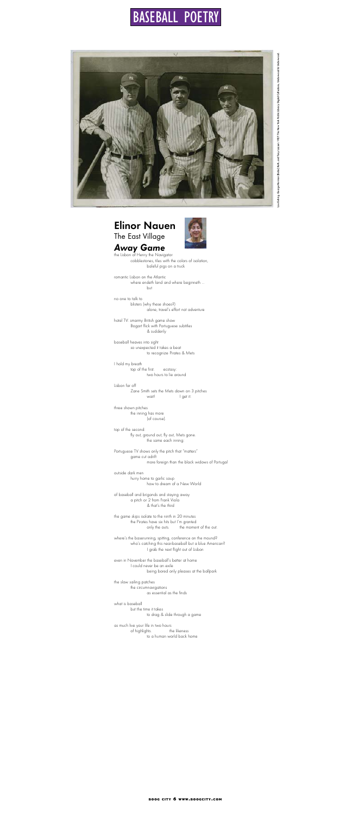

# Elinor Nauen



The East Village

## *Away Game*

the Lisbon of Henry the Navigator cobblestones, tiles with the colors of isolation, baleful pigs on a truck

romantic Lisbon on the Atlantic where endeth land and where beginneth … but

Lisbon far off Zane Smith sets the Mets down on 3 pitches wait! I get it:

no one to talk to blisters (why these shoes?) alone, travel's effort not adventure

hotel TV: smarmy British game show Bogart flick with Portuguese subtitles & suddenly

Portuguese TV shows only the pitch that "matters" game cut adrift more foreign than the black widows of Portugal

baseball heaves into sight so unexpected it takes a beat to recognize Pirates & Mets

the game skips isolate to the ninth in 20 minutes the Pirates have six hits but I'm granted only the outs. the moment of the out.

I hold my breath top of the first. ecstasy: two hours to lie around

three shown pitches

where's the baserunning, spitting, conference on the mound? who's catching this near-baseball but a blue American? I grab the next flight out of Lisbon

the inning has more (of course).

top of the second: fly out, ground out, fly out, Mets gone. the same each inning:

Lou Gehrig, George Herman [Babe] Ruth, and Tony Lazzeri. 1927. The New York Public Library Digital Collections, Underwood & Underwood. Lou Gehrig, George Herman [Babe] Ruth, and Tony Lazzeri. 1927. The New York Public Library Digital Collections, Underwood & Underwood.

outside dark men hurry home to garlic soup how to dream of a New World

of baseball and brigands and staying away a pitch or 2 from Frank Viola & that's the third

even in November the baseball's better at home I could never be an exile being bored only pleases at the ballpark

the slow sailing patches the circumnavigations as essential as the finds

what is baseball but the time it takes to drag & slide through a game

as much live your life in two hours of highlights. the likeness to a human world back home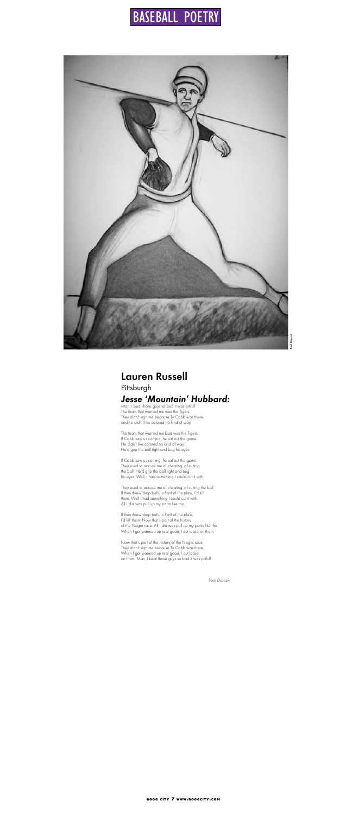Lauren Russell Pittsburgh *Jesse 'Mountain' Hubbard:* Man, I beat those guys so bad it was pitiful!

The team that wanted me was the Tigers. They didn't sign me because Ty Cobb was there, and he didn't like colored no kind of way.

The team that wanted me bad was the Tigers. If Cobb saw us coming, he sat out the game. He didn't like colored no kind of way. He'd grip the ball tight and bug his eyes.

If they threw drop balls in front of the plate, I'd kill them. Now that's part of the history of the Negro race. All I did was pull up my pants like this. When I got warmed up real good, I cut loose on them.

If Cobb saw us coming, he sat out the game. They used to accuse me of cheating, of cutting the ball. He'd grip the ball tight and bug his eyes. Well, I had something I could cut it with.

They used to accuse me of cheating, of cutting the ball. If they threw drop balls in front of the plate, I'd kill them. Well I had something I could cut it with. All I did was pull up my pants like this.

Now that's part of the history of the Negro race. They didn't sign me because Ty Cobb was there. When I got warmed up real good, I cut loose on them. Man, I beat those guys so bad it was pitiful!

from *Descent*



# BASEBALL POETRY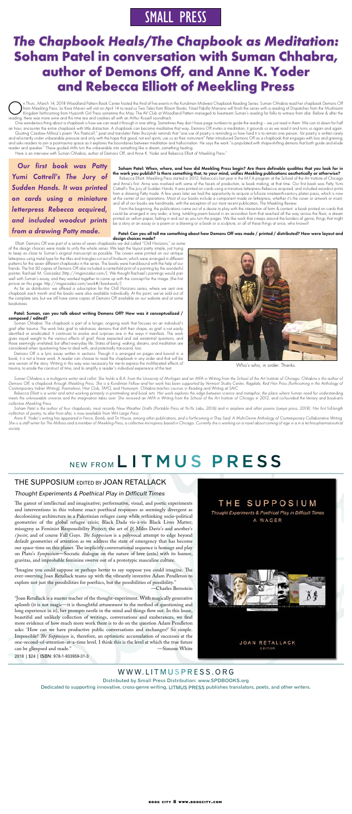# *The Chapbook Heals/The Chapbook as Meditation:*  **Soham Patel in conversation with Suman Chhabra, author of Demons Off, and Anne K. Yoder and Rebecca Elliott of Meekling Press**

n Thurs., March 14, 2018 Woodland Pattern Book Center hosted the third of five events in the Kundiman Midwest Chapbook Reading Series. Suman Chhabra read her chapbook Demons Off<br>Kingdom forthcoming from Hyacinth Girl Press from Meekling Press. Lo Kwa Mei-en will visit on April 14 to read us Two Tales from Bloom Books. Noel Pabillo Mariano will finish the series with a reading of Dispatches from the Mushroom reading, there was more wine and this time tea and cookies all with an Arthur Russell soundtrack.

One wonderous thing about a chapbook is how we can read it through in one sitting. Sometimes they don't have page numbers to guide the reading – we just read in them. We can sit down for half an hour, encounter the entire chapbook with little distraction. A chapbook can become meditative that way. Demons Off invites a meditation, it grounds us as we read it and turns us again and again. Quoting Czesław Miłosz's poem "Ars Poetica?," poet and translator Peter Burzynski reminds that "one use of poetry is reminding us how hard it is to remain one person...for poetry is written rarely and reluctantly under unbearable pressure and only with the hope that good, not evil spirits, use us as their instrument" Peter introduced Demons Off as a chapbook that engages with loss and grieving, and asks readers to join a post-trauma space as it explores the boundaries between meditation and hallucination. He says the work "is populated with shape-shifting demons that both guide and elude reader and speaker." These guided shifts turn the unbearable into something like a dream, something healing.

> From the beginning, the publications came out of a desire to play with the interaction of form & content: a book printed on cards that could be arranged in any order; a long, tumbling poem bound in an accordion form that reached all the way across the floor; a dream printed on vellum paper, fading in and out as you turn the pages. We like work that creeps around the borders of genre, things that might .<br>be a story or an essay or a poem or a drawing or a book or a sculpture, or all of these things at once, who knows?

Here is an interview with Suman Chhabra, author of Demons Off, and Anne K. Yoder and Rebecca Elliott of Meekling Press."

Soham Patel: When, where, and how did Meekling Press begin? Are there definable qualities that you look for in the work you publish? Is there something that, to your mind, unifies Meekling publications aesthetically or otherwise?

 Rebecca Elliott: Meekling Press started in 2012, Rebecca's last year in the M.F.A program at the School of the Art Institute of Chicago and Anne's first. Anne was involved with some of the facets of production, ie book making, at that time. Our first book was Patty Yumi Cottrell's The Jury of Sudden Hands. It was printed on cards using a miniature letterpress Rebecca acquired, and included woodcut prints from a drawing Patty made. A few years later we had the opportunity to acquire a full-size nineteenth-century platen press, which is now at the center of our operations. Most of our books include a component made on letterpress, whether it's the cover or artwork or insert, and all of our books are handmade, with the exception of our most recent publication, The Meekling Review.

Suman Chhabra is a multigenre writer and cellist. She holds a B.A. from the University of Michigan and an MFA in Writing from the School of the Art Institute of Chicago. Chhabra is the author of *Demons Off, a chapbook through Meekling Press. She is a Kundiman Fellow and her work has been supported by Vermont Studio Center, Ragdale, Red Hen Press (forthcoming in the Anthology of Contemporary Indian Writing), Poemeleon, Hair Club, TAYO, and Homonym. Chhabra teaches courses in Reading and Writing at SAIC.*

Patel: Can you all tell me something about how Demons Off was made / printed / distributed? How were layout and design choices made?

Anne K. Yoder's writing has appeared in Fence, Bomb, and Tin House, among other publications, and is forthcoming in They Said: A Multi-Genre Anthology of Contemporary Collaborative Writing. *She is a staff writer for The Millions and a member of Meekling Press, a collective micropress based in Chicago. Currently she is working on a novel about coming of age in a in a techno-pharmaceutical society.* 

# NEW FROM LITMUS PRESS

### THE SUPPOSIUM EDITED BY JOAN RETALLACK

 Elliott: Demons Off was part of a series of seven chapbooks we did called "Chill Horizons," so some of the design choices were made to unify the whole series. We kept the layout pretty simple, just trying to keep as close to Suman's original manuscript as possible. The covers were printed on our antique letterpress using metal type for the titles and triangles cut out of linoleum, which were arranged in different patterns for the seven different chapbooks in the series. The books were hand-bound with the help of our friends. The first 50 copies of Demons Off also included a centerfold print of a painting by the wonderful painter, Rachael M. Gonzalez (http://rmgonzalez.com/). We thought Rachael's paintings would pair well with Suman's essay, and they worked together to come up with the concept for the image. (the first picture on this page: http://rmgonzalez.com/work#/bookwork/)

"Imagine you could suppose or perhaps better to say suppose you could imagine. The ever-swerving Joan Retallack teams up with the vibrantly inventive Adam Pendleton to explore not just the possibilities for poethics, but the possibilities of possibility."

As far as distribution: we offered a subscription for the Chill Horizons series, where we sent one chapbook each month and the books were also available individually. At this point, we've sold out of the complete sets, but we still have some copies of Demons Off available on our website and at some bookstores.

#### Patel: Suman, can you talk about writing Demons Off? How was it conceptualized / composed / edited?

Suman Chhabra: The chapbook is part of a longer, ongoing work that focuses on an individual's grief after trauma. The work links grief to rakshasas, demons that shift their shape, as grief is not easily identified or eradicated. It continues to evolve and surprises one in the ways it manifests. The work gives equal weight to the various effects of grief, those expected and ask existential questions, and those seemingly unrelated, but affect everyday life. States of being: waking, dreams, and meditation are considered when questioning how to deal with, and potentially transcend, loss.

Demons Off is a lyric essay written in sections. Though it is arranged on pages and bound in a book, it is not a linear work. A reader can choose to read the chapbook in any order and that will be one version of the story. Writing in this way was necessary for me-to express the multifaceted effects of trauma, to erode the construct of time, and to amplify a reader's individual experience of the text.

*Rebecca Elliott is a writer and artist working primarily in printmaking and book arts. Her work explores the edge between science and metaphor, the place where human need for understanding meets the unknowable universe and the imagination takes over. She received an MFA in Writing from the School of the Art Institute of Chicago in 2012, and co-founded the literary and book-arts collective Meekling Press.*

*Soham Patel is the author of four chapbooks, most recently New Weather Drafts (Portable Press at Yo-Yo Labs, 2016) and in airplane and other poems (oxeye press, 2018). Her first full-length* 

*collection of poetry, to afar from afar, is now available from Writ Large Press.*

*Our first book was Patty Yumi Cottrell's The Jury of Sudden Hands. It was printed on cards using a miniature letterpress Rebecca acquired, and included woodcut prints from a drawing Patty made.*

# SMALL PRESS



Who's who, in order. Thanks.

Distributed by Small Press Distribution: www.SPDBooKS.org

Dedicated to supporting innovative, cross-genre writing, LITMUS PRESS publishes translators, poets, and other writers.

### Thought Experiments & Poethical Play in Difficult Times

The gamut of intellectual and imaginative; performative, visual, and poetic experiments and interventions in this volume enact poethical responses as seemingly divergent as decolonizing architecture in a Palestinian refugee camp while rethinking socio-political geometries of the global refugee crisis; Black Dada vis-à-vis Black Lives Matter; misogyny as Feminist Responsibility Project; the art of *If*; Miles Davis's and another's *s'posin*; and of course Fall Guys. *The Supposium* is a polyvocal attempt to edge beyond default geometries of attention as we address the state of emergency that has become our space-time on this planet. The implicitly conversational sequence is homage and play on Plato's *Symposium*—Socratic dialogue on the nature of love (erōs) with its humor, gravitas, and improbable feminine swerve out of a prototypic masculine culture.

—Charles Bernstein

"Joan Retallack is a master teacher of the thought-experiment. With magically generative aplomb (it is not magic—it is thoughtful attunement to the method of questioning and long experience in it), her prompts nestle in the mind and things flow out. In this loose, beautiful and unlikely collection of writings, conversations and exuberances, we find more evidence of how much more work there is to do on the question Adam Pendleton asks: 'How can we have productive public conversations and exchanges?' So simple. Impossible? *The Supposium* is, therefore, an optimistic accumulation of successes at the one-second-of-attention-at-a-time level. I think this is the level at which the true future can be glimpsed and made." —Simone White

2018 | \$24 | ISBn: 978-1-933959-31-3



### WWW.LITMUSPRESS.ORG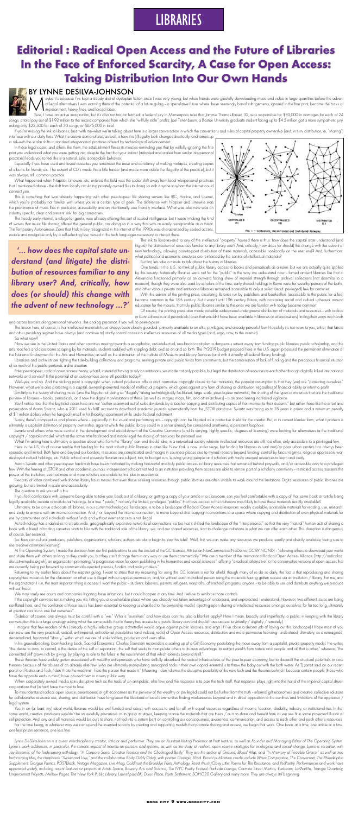# **LIBRARIES**

# **Editorial : Radical Open Access and the Future of Libraries In the Face of Enforced Scarcity, A Case for Open Access: Taking Distribution Into Our Own Hands**



### BY LYNNE DESILVA-JOHNSON

aybe it's because I've kept a steady diet of dystopian fiction since I was very young, but when friends were gleefully downloading music and video in large quantities before the advent of legal alternatives I was warning them of the potential of a future gulag - a speculative future where these seemingly banal infringements, ignored in the fine print, became the basis of I imprisonment, heavy fines, and forced labor.

Sure, I have an active imagination, but it's also not too far fetched: a federal jury in Minneapolis rules that Jammie Thomas-Rasset, 32, was responsible for \$80,000 in damages for each of 24 songs, a total pay out of \$1.92 million to the record companies from which she "willfully stole" profits; Joel Tenenbaum, a Boston University graduate student facing up to \$4.5 million got a more sympathetic jury, asking only \$22,500 for each of 30 songs, or \$675,000 in total.

If you're missing the link to libraries, bear with me--what we're talking about here is a larger conversation in which the conventions and rules of capital property ownership (and, in turn, distribution, ie, "sharing") interface with our daily lives. What the above demonstrates, as well, is how this (il)legality both changes drastically-and ramps up

in risk-with the scalar shifts in standard interpersonal practices offered by technological advancement.

In these legal cases, and others like them, the establishment flexes its muscles--reminding you that by willfully ignoring the fine print you understood what you were getting into, despite the fact that your instinct (adapted and scaled from similar interpersonal practices) leads you to feel this is a natural, safe, acceptable behavior.

Especially if you have used and loved cassettes you remember the ease and constancy of making mixtapes, creating copies of albums for friends, etc. The advent of CD's made this a little harder (and made more visible the illegality of the practice), but it was always, still, common practice.

What happened when Napster, Limewire, etc. entered the field was the scalar shift away from local interpersonal practices that I mentioned above - the shift from locally circulating privately owned files to doing so with anyone to whom the internet could connect you.

> Of course, the printing press also made possible widespread underground distribution of materials and resources -- with radical or banned books and periodicals (ones that wouldn't have been available in libraries or at booksellers) finding their ways into hands

This is something that was already happening with other peer-to-peer file sharing servers like IRC, Hotline, and Usenet, which you're probably not familiar with unless you're a certain type of geek. The difference with Napster and Limewire was the prominence of music files in particular, accessibility and an intentionally user friendly interface. What was also new was an industry specific, clear and present 'risk' for big companies.



The lesson here, of course, is that intellectual materials have always been closely guarded- primarily available to an elite, privileged, and already powerful few. Hopefully it's not news to you, either, that fascist and other punishing regimes have always (and continue to) strictly control access to intellectual resources of all media types (and, ergo, now, to the internet).

The heady early internet, a refuge for geeks, was already offering this sort of scaled intelligence, but it wasn't making the kind of waves that music file sharing offered the general public, nor doing so in a way that was as easily recognizable as a threat. The Temporary Autonomous Zone that Hakim Bey recognized in the internet of the 1990s was characterized by coded access, usable and navigable only by a self-selecting few, versed in the tech languages necessary to interact there.

Now we see in the United States and other countries moving towards a xenophobic, anti-intellectual, neo-fascist capitalism a dangerous retreat away from funding public libraries, public scholarship, and the arts, teachers and classrooms scraping by for materials, students saddled with crippling debt, and so on and so forth. The FY2019 budget proposal here in the U.S. again proposed the permanent elimination of the National Endowment for the Arts and Humanities, as well as the elimination of the Institute of Museum and Library Services (and with it virtually all federal library funding).

Librarians and archivists are fighting the tide-building collections and programs, seeking private and public funds from constituents, but the combination of lack of funding and the precarious financial situation of so much of the public portends a dire situation.

Enter peer-to-peer, radical open access theory: what if, instead of having to rely on institutions, we made not only possible, but legal the distribution of resources to each other through digitally linked international networks and servers? Is the potential of an autonomous zone still possible today?

Well-yes, and no. And the sticking point is copyright: when cultural producers affix a strict, normative copyright clause to their materials, the popular assumption is that they (we) are "protecting ourselves." However, what we're also protecting is a capital, ownership-oriented model of intellectual property, which goes against any form of sharing or distribution, regardless of financial ability or intent to profit.

Similarly to the history of sharing music (and the litigation of doing so "illegally" along technologically facilitated, large scale, peer-to-peer networks), the sharing of the types of materials that are the traditional purview of libraries – books, periodicals, and now the digital manifestations of these (as well as images, maps, film, and other archives) – is an area seeing increased vigilance.

You'll notice, too, that the big ticket cases here are not "author scammed out of sales dividends by a teacher copying and distributing copies of their memoir to their students," but rather those like the arrest and

But first, lets take a minute to talk about the history of libraries.

One tends, in the U.S., to think of public library access to books and periodicals as a norm, but we are actually quite spoiled by this bounty: historically libraries were not for the "public" in the way we understand now - famed ancient libraries like that in Alexandria functioned primarily as an outward facing show of imperial strength through archival collections (not dissimilar to a museum), though they were also used by scholars of the time; early shared holdings in Rome were for wealthy patrons of the baths; and other various private and institutional libraries remained accessible to only a select (read: privileged) few for centuries.

Surely, there's complexities and places where - especially in the visual and performing arts - copyright can be litigated as a protective shield for the creator. But, in its current blanket form, what it protects is ultimately a capitalist definition of property ownership, against which the public library could in a sense already be considered anathema, a persistent loophole.

Swartz and others who were central in the development and establishment of the Creative Commons (and its varying, highly specific, degrees of licensing) were looking for alternatives to the traditional copyright / capitalist model, which at the same time facilitated and made legal the sharing of resources for personal use.

What I'm asking here is ultimately a question about what form the "library" can and should take, in a networked society wherein intellectual resources are still, too often, only accessible to a privileged few.

With the advent of the printing press, circulating libraries run by publishers and booksellers (accessible to the public for a fee) became common in the 18th century. But it wasn't until 19th century Britain, with increasing social and cultural upheaval around education for the masses, that truly public libraries similar to the ones we are familiar with today became common.

Aaron Swartz and other peer-to-peer hacktivists have been motivated by making horizontal and truly public access to library resources that remained behind paywalls, and/or accessible only to a privileged few. With the freeing of JSTOR and other academic journals, independent scholars not tied to an institution providing them access are able to remain part of a scholarly community - restricted access reasserts the power of the institution, even as more and more scholars are unable to find jobs in academia.

Precarity of labor combined with shorter library hours means that even those seeking resources through public libraries are often unable to work around the limitations. Digital resources of public libraries are growing, but are limited in scale and accessibility.

and across borders along personal networks...the analog precursor, if you will, to peer-to-peer.

As technology has enabled us to create wide, geographically expansive networks of connections, so too has it shifted the landscape of the "interpersonal," so that the very "natural" human acts of sharing a book with a friend of trading cassettes starts to blur with the traditional role of the library; we, and our shared resources, start to challenge institutions in what we can offer each other. This disruption is dangerous, of course, but essential.

So: how can cultural producers, publishers, organizations, scholars, authors, etc do to begin to stay this tide? Well, first, we can make any resources we produce readily and directly available, being sure to use creative commons licensing.

At The Operating System, I made the decision from our first publications to use the strictest of the CC licenses, Attribution-NonCommercial-NoDerivs (CC BY-NC-ND) - "allowing others to download your works and share them with others as long as they credit you, but they can't change them in any way or use them commercially." We are a member of the international Radical Open Access Alliance, [http://radicaloa. disruptivemedia.org.uk], an organization promoting "a progressive vision for open publishing in the humanities and social sciences", offering "a radical 'alternative' to the conservative versions of open access that are currently being put forward by commercially-oriented presses, funders and policy makers."

Returning to my earlier fears about the napster gulag, I want to stress that my reasoning for using the CC licenses is not far afield: though many of us do so daily, the fact is that reproducing and sharing copyrighted materials for the classroom or other use is illegal without express permission, and/or without each individual person using the materials having gotten access via an institution / library. For me, and the organization I run, the most important thing is access. I want the public - students, laborers, parents, refugees, nonprofits, afterschool programs, anyone - to be able to use and distribute anything we produce without threat.

If the copyright conversation is making you rile, hitting you at a vulnerable place where you already feel taken advantage of, underpaid, and unprotected, I understand. However, two different issues are being conflated here, and the conflation of these issues has been essential to keeping us shackled to the ownership model, rejecting open sharing of intellectual resources amongst ourselves, for far too long, ultimately at greatest cost to no one but ourselves\*.

In his groundbreaking, brain-hacking book, Sacred Economics, Charles Eisenstein reconsiders a scaling up of a Gift Economy, postulating the move away from a capitalist, private property model. He writes, "the desire to own, to control, is the desire of the self of separation, the self that seeks to manipulate others to its own advantage, to extract wealth from nature and people and all that is other," whereas, "the connected self grows rich by giving, by playing its role to the fullest in the nourishment of that which extends beyond itself."

prosecution of Aaron Swartz, who in 2011 used his MIT account to download academic journals systematically from the JSTOR database. Swartz was facing up to 35 years in prison and a maximum penalty of \$1 million dollars when he hanged himself in his Brooklyn apartment while under federal indictment.

These theories have widely gotten associated with wealthy entrepreneurs who have skillfully absorbed the radical infrastructures of the peer-to-peer economy, but to discredit the structural potentials or core theories because of the abuses of an already elite few (who are ultimately manipulating anti-capital tools in their own capital interests) is to throw the baby out with the bath water. As TJ Jarrett said on our recent panel on Poetics and Tech, "don't hate the machine - hate the person that made it." Meaning - don't dismiss the disruptive possibility of the new tech and the theories behind it because certain people (those who have the opposite ends in mind) have abused them in a very public way.

When corporately owned media spins disruptive tech as the tools of an anti-public, elite few, and the response is to pan the tech itself, that response plays right into the hand of the imperial capital driven corporations that (in fact) have the most to lose.

To misunderstand radical open source, peer-to-peer, or gift economies as the purview of the wealthy or privileged could not be further from the truth - informal gift economies and creative collective solutions for collaborative resource use, sharing, and distribution have long been the lifeblood of local communities finding workarounds beyond and in direct opposition to the confines and limitations of the oppressor / legal system.

Yes: in an (at least, my) ideal world, libraries would be well funded and robust, with access to and for all, with equal resources regardless of income, location, disability, industry, or institutional ties. In that same world, creative producers wouldn't be so woefully precarious as to grasp at straws, keeping scarce the materials that are theirs / ours to share and benefit from as we see fit in some projected illusion of self-protection. And: any and all materials would be ours to share, not tied into a system bent on controlling our consciousness, awareness, communication, and access to each other and each other's resources.

For the time being, in whatever way we can upend the invented scarcity by creating and supporting models that promote sharing and access, we begin that work. One book at a time, one article at a time, one less prison sentence, one less fine.

Here in the US, it's of course terrible that funding for the most robust public libraries in cities like New York is now under siege, but funding for libraries in rural and/or poor urban centers has always been sporadic and limited. Both here and beyond our borders, resources are complicated and meagre in countless places due to myriad reasons beyond funding: control by fascist regimes, religious oppression, wardestroyed cultural holdings, etc. Public school and university libraries are subject, too, to budget cuts, leaving young people and scholars with vastly unequal resources to learn and study.

Lynne DeSilva-Johnson is a queer interdisciplinary creator, scholar and performer. They are an Assistant Visiting Professor at Pratt Institute, as well as Founder and Managing Editor of The Operating System. Lynne's work addresses, in particular, the somatic impact of trauma on persons and systems, as well as the study of resilient, open source strategies for ecological and social change. Lynne is co-editor, with Jay Besemer, of the forthcoming anthology, "In Corpore Sano: Creative Practice and the Challenged Body." They are the author of Ground, Blood Atlas, and "In Memory of Feasible Grace," as well as two *forthcoming titles, the chapbook "Sweet and Low," and the collaborative Body Oddy Oddy, with painter Georgia Elrod. Recent publication credits include Wave Composition, The Conversant, The Philadelphia Supplement, Gorgon Poetics, POSTblank, Vintage Magazine, Live Mag, Coldfront, the Brooklyn Poets Anthology, Resist Much/Obey Little: Poems for The Resistance, and YesPoetry. Performances and work have*  appeared widely, including recent features or projects at Artists Space, Bowery Arts and Science, The NYC Poetry Festival, Parkside Lounge, Carmine Street Metrics, Eyebeam, LaMaMa, Triangle Quarterly, *Undercurrent Projects, Mellow Pages, The New York Public Library, Launchpad BK, Dixon Place, Poets Settlement, SOHO20 Gallery and many more. They are always still beginning.*

The question to ask yourself is this:

If you feel comfortable with someone being able to take your book out of a library, or getting a copy of your article in a classroom, can you feel comfortable with a copy of that same book or article being legally available, outside of institutional holdings, to a true \*public,\* not only the limited, privileged "publics" that have access to the institutions most likely to have these materials readily available?

Ultimately, to be a true advocate of libraries, in our current technological landscape, is to be a landscape of Radical Open Access resources: readily available, accessible materials for reading, use, research, and study to anyone with an internet connection. And / or, beyond the internet connection, to move beyond strict copyright conventions to a space where copying and distribution of even physical materials for use by communities and individuals without funds and without internet access is not illegal.

We may rarely see courts and companies litigating these infractions, but it could happen at any time. And I refuse to reinforce those controls.

(Sidebar: of course, one always must be careful with a "we." Who is "ourselves" and how does can this, also a blanket, apply? Here I mean, broadly and imperfectly, a public; in keeping with the library conversation this is a large analogy asking what the same public that in theory has access to a public library can and should have access to virtually / digitally / remotely.)

I imagine that few readers of this (already a highly selective group, admittedly) would argue against public libraries, and ergo (if I've done a decent job of laying out this landscape) I hope most of you can now see the very practical, radical, anti-imperial, anti-colonial possibilities (and indeed, roots) of Open Access resources, distribution and more permissive licensing- understood, ultimately, as a reimagined, decentralized, horizontal "library," within which we are all stakeholders, producers and users alike.

*'... how does the capital state understand (and litigate) the distribution of resources familiar to any library user? And, critically, how does (or should) this change with the advent of new technology ...?'*

The link to libraries-and to any of the intellectual "property" housed there is thus: how does the capital state understand (and litigate) the distribution of resources familiar to any library user? And, critically, how does (or should) this change with the advent of new technology, allowing point-to-point distribution of these materials, accessible non-locally on the user end? And, furthermore: what political and economic structures are reinforced by the control of intellectual materials?

#### **boog city 9 www.boogcity.com**

So what now?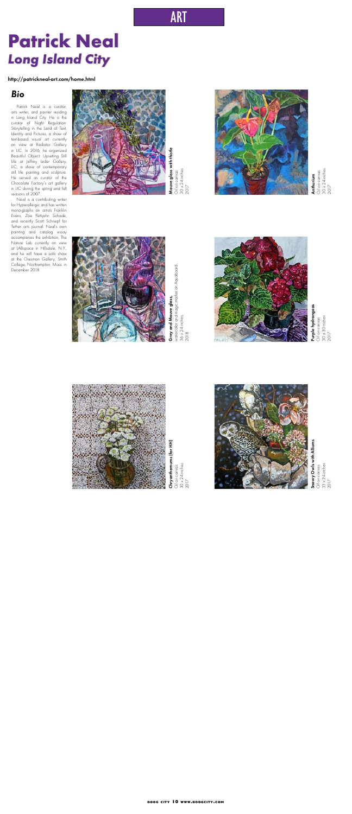### *Bio*

Patrick Neal is a curator, arts writer, and painter residing in Long Island City. He is the curator of Night Regulation: Storytelling in the Land of Text, Identity and Pictures, a show of text-based visual art currently on view at Radiator Gallery in LIC. In 2016, he organized Beautiful Object: Upsetting Still Life at Jeffrey Leder Gallery, LIC, a show of contemporary still life painting and sculpture. He served as curator of the Chocolate Factory's art gallery in LIC during the spring and fall seasons of 2007.



Anthurium Oil on canvas **Anthurium**<br>Oil on canvas<br>30 x 24 inches<br>2017



Grey and Mauve glass, watercolor and magic marker on Aquaboard,  $36 \times 24$  inches, **Grey and Mauve glass,**<br>watercolor and magic marker on Aquaboard,<br>36 x 24 inches,<br>2018



Purple hydrangeas Oil on canvas 30 x 30 inches **Purple hydrangeas**<br>Oil on canvas<br>30 x 30 inches<br>2017





Chryanthemums (for HH) Chryanthemums (for HH) Oil on canvas<br>30 x 24 inches<br>2017 30 x 24 inches Oil on canvas

Snowy Owls with Alliums Oil on canvas 33 x 24 inches 011 on canvas<br>33 x 24 inches<br>2017

Neal is a contributing writer for Hyperallergic and has written mono-graphs on artists Franklin Evans, Zoe Pettijohn Schade, and recently Scott Schnepf for Tether arts journal. Neal's own painting and catalog essay accompanies the exhibition, The Nature Lab currently on view at LABspace in Hillsdale, N.Y., and he will have a solo show at the Oresman Gallery, Smith College, Northampton, Mass. in December 2018.



**Mauve glass with thistle**<br>Oil on canvas<br>30 x 24 inches<br>2017

# ART

30 x 24 inches

# **Patrick Neal** *Long Island City*

http://patrickneal-art.com/home.html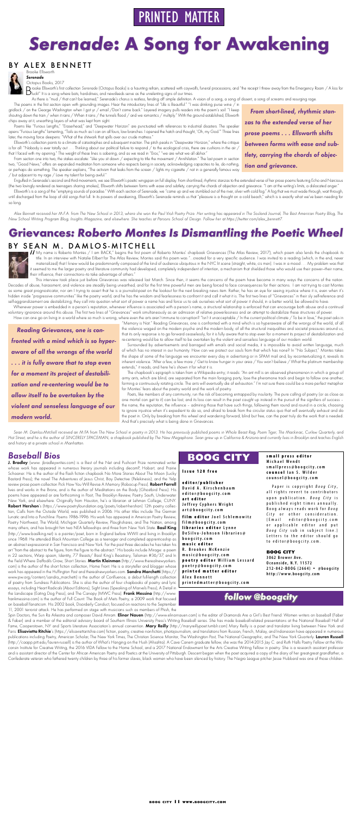# PRINTED MATTER

# *Serenade***: A Song for Awakening**

### BY ALEX BENNETT Brooke Ellsworth



*Serenade*

#### Octopus Books, 2017

Brooke Ellsworth's first collection Serenade (Octopus Books) is a haunting refrain, scattered with coywolfs, funeral processions, and "the receipt I threw away from the Emergency Room / A kiss for<br>Dluck!" It is a song wher

As there is "mud / that can't be learned," Serenade's chorus is restless, fending off simple definition. A vision of a song, a song of dissent, a song of screams and resurging rage.

Poems like "Furious Lengths," "Eraserhead," and "Deepwater Horizon" are punctuated with references to industrial disasters. The speaker opens "Furious Lengths" lamenting, "Toils as much as I can on all fours, low branches. I opened the hatch and thought, 'Oh, my God.'" Three lines later, the moving force deepens: "What of the shitwork that spills over our crude mattress."

The poems in the first section open with grounding images. Hear the introductory lines of "Life is Beautiful:" "I was drinking purse wine / in gridlock / on the George Washington when I got yr / email /Don't come back." Layered imagery pulls readers into the poem's soil: "I keep shouting down the train / when it rains / When it rains / the tunnels flood / and we romantics / multiply." With the ground established, Ellsworth chips away at it, unearthing layers of what was kept from sight.

Engulfed in Serenade's second and third movements, we see Ellsworth's poetic wingspan on full display. From short-lined, rhythmic stanzas to the extended verse of her prose poems featuring Echo and Narcissus (the two lovingly rendered as teenagers sharing smokes), Ellsworth shifts between forms with ease and subtlety, carrying the chords of objection and grievance. "I am at the writing's limits, a dislocated anger."

Ellsworth's is a song of the "emptying sounds of paradise." With each section of Serenade, we "came up and we stumbled out of the river, silver with cold fog." A fog that we must wade through, wait through, until discharged from the loop of old songs that lull. In its powers of awakening, Ellsworth's Serenade reminds us that "pleasure is a thought on a cold beach," which is is exactly what we've been needing for so long.

Ellsworth's collection points to a climate of catastrophes and subsequent inaction. The pitch peaks in "Deepwater Horizon," where the critique is for all: "Nobody is ever totally out . . . Thinking about our political failure to respond / to the ecological crisis, there are cushions in the air / that I faced with my opening." The weight of these lines is sobering, and as we read in "Eros," "we are what we all abhor."

From section one into two, the stakes escalate: "Like you sit down / expecting to title the movement / Annihilation." The last poem in section two, "Good News," offers an expanded meditation from someone who respects being in society, acknowledging capacities to lie, do nothing, or perhaps do something. The speaker explains, "The activism that leaks from the screen / lights my cigarette / not in a generally famous way / but adjacent to my rage / Love my talent for being awful."

If My name is Roberto Montes / I am BACK," begins the first poem of Roberto Montes' chapbook Grievances (The Atlas Review, 2017), which poem also lends the chapbook its title. In an interview with Natalie Eilbert for The A title. In an interview with Natalie Eilbert for The Atlas Review, Montes said this poem was "…created for a very specific audience. I was invited to a reading (which, in the end, never materialized) that I knew would be predominantly composed of the kind of audience ubiquitous in the NYC lit scene (straight, white, cis men). I was in a mood . . . My problem was that it seemed to me the larger poetry and literature community had developed, completely independent of intention, a mechanism that shielded those who would use their power—their name, their influence, their connections—to take advantage of others."

*Alex Bennett received her M.F.A. from The New School in 2013, where she won the Paul Violi Poetry Prize. Her writing has appeared in The Sosland Journal, The Best American Poetry Blog, The New School Writing Program Blog, Insights Magazine, and elsewhere. She teaches at Parsons School of Design. Follow her at https://twitter.com/alex\_bennett7.*

*From short-lined, rhythmic stanzas to the extended verse of her prose poems . . . Ellsworth shifts between forms with ease and subtlety, carrying the chords of objection and grievance.*

# **Grievances***: Roberto Montes Is Dismantling the Poetic Wheel*

## BY SEAN M. DAMLOS-MITCHELL



How can one go on living in a world where so much is wrong, where even the arts aren't immune to corruption? "Isn't it unacceptable / In the current political climate / To be in love," the poet asks in *Reading Grievances, one is con-*

This interview took place just before Grievances was released last March. Since then, it seems the concerns of the poem have become in many ways the concerns of the nation. Decades of abuse, harassment, and violence are steadily being unearthed, and for the first time powerful men are being forced to face consequences for their actions. I am not trying to cast Montes as some great prognosticator, nor am I trying to assert that he is a journalist-poet on the lookout for the next breaking news item. Rather, he has an eye for seeing injustice where it is, even when it's hidden inside "progressive communities" like the poetry world, and he has the wisdom and fearlessness to confront it and call it what it is. The first two lines of "Grievances" in their sly self-reference and self-aggrandizement are destabilizing; they call into question what sort of power a name has and force us to ask ourselves what sort of power it should, in a better world, be allowed to have.

Whenever power is embedded in a person's reputation, whenever influence is associated with a person's name, a structural relationship is enforced that can encourage both abuse and a continual voluntary ignorance around this abuse. The first two lines of "Grievances" work simultaneously as an admission of relative powerlessness and an attempt to destabilize these structures of power.

J. Bradley (www. jbradleywrites.com) is a Best of the Net and Pushcart Prize nominated writer whose work has appeared in numerous literary journals including decomP, Hobart, and Prairie Schooner. He is the author of the flash fiction chapbook No More Stories About The Moon (Lucky Bastard Press); the novel The Adventures of Jesus Christ, Boy Detective (Pelekinesis), and the Yelp review prose poem collection Pick How You Will Revise A Memory (Robocup Press). Robert Farrell lives and works in the Bronx, and is the author of Meditations on the Body (Ghostbird Press). His poems have appeared or are forthcoming in Posit, The Brooklyn Review, Poetry South, Underwater New York, and elsewhere. Originally from Houston, he's a librarian at Lehman College, CUNY. Robert Hershon's (https://www.poetryfoundation.org/poets/robert-hershon) 12th poetry collection, Calls from the Outside World, was published in 2006. His other titles include The German Lunatic and Into a Punchline: Poems 1986-1996. His work has appeared in American Poetry Review, Poetry Northwest, The World, Michigan Quarterly Review, Ploughshares, and The Nation, among many others, and has brought him two NEA fellowships and three from New York State. Basil King (http://www.basilking.net) is a painter/poet, born in England before WWII and living in Brooklyn since 1968. He attended Black Mountain College as a teenager and completed apprenticeship as an abstract expressionist in San Francisco and New York. For the past three decades he has taken his art "from the abstract to the figure, from the figure to the abstract." His books include Mirage: a poem in 22 sections, Warp spasm, Identity, 77 Beasts/ Basil King's Beastiary, Talisman #36/37, and In the Field Where Daffodils Grow, Short Stories. Martin Kleinman (http://www.therealnewyorkers. com) is the author of the short fiction collection, Home Front. He is a storyteller and blogger whose work has appeared in the Huffington Post and therealnewyorkers.com. **Sandra Marchetti** (https:// www.pw.org/content/sandra\_marchetti) is the author of Confluence, a debut full-length collection of poetry from Sundress Publications. She is also the author of four chapbooks of poetry and lyric essays, including Heart Radicals (About Editions), Sight Lines (Speaking of Marvels Press), A Detail in the Landscape (Eating Dog Press), and The Canopy (MWC Press). Frank Messina (http://www. frankmessina.com) is the author of Full Count: The Book of Mets Poetry, a 2009 work that focused on baseball fanaticism. His 2002 book, Disorderly Conduct, focused on reactions to the September 11, 2001 terrorist attack. He has performed on stage with musicians such as members of Phish, the

"Memory is Not." Reading Grievances, one is confronted with a mind which is so hyperaware of all the wrongs of the world, of all the violence waged on the modern psyche and the modern body, of all the structural inequalities and societal pressures around us, that its only response is to go forward ceaselessly, for it is fully aware that to stop even for a moment its project of destabilization and re-centering would be to allow itself to be overtaken by the violent and senseless language of our modern world.

Spin Doctors, the Sun Ra Arkestra and composer David Amram. Elinor Nauen (http://www.elinornauen.com) is the editor of Diamonds Are a Girl's Best Friend: Women writers on baseball (Faber & Faber) and a member of the editorial advisory board of Southern Illinois University Press's Writing Baseball series. She has made baseball-related presentations at the National Baseball Hall of Fame, Cooperstown, NY and Sports Literature Association's annual convention. Mary Reilly (http://maryreillypoet.tumblr.com) Mary Reilly is a poet and translator living between New York and Paris. Elisavietta Ritchie's (https://elisaviettaritchie.com) fiction, poetry, creative non-fiction, photojournalism, and translations from Russian, French, Malay, and Indonesian have appeared in numerous publications including Poetry, American Scholar, The New York Times, The Christian Science Monitor, The Washington Post, The National Geographic, and The New York Quarterly. Lauren Russell (http://caapp.pitt.edu/lauren-russell) is the author of What's Hanging on the Hush (Ahsahta). A Cave Canem graduate fellow, she was the 2014-2015 Jay C. and Ruth Halls Poetry Fellow at the Wisconsin Institute for Creative Writing, the 2016 VIDA Fellow to the Home School, and a 2017 National Endowment for the Arts Creative Writing Fellow in poetry. She is a research assistant professor and is assistant director of the Center for African American Poetry and Poetics at the University of Pittsburgh. Descent began when the poet acquired a copy of the diary of her great-great grandfather, a Confederate veteran who fathered twenty children by three of his former slaves, black women who have been silenced by history. The Negro League pitcher Jesse Hubbard was one of those children.

Surrounded by advertisements and barraged with emails and social media, it is impossible to avoid written language, much of which has no interest in our humanity. How can we protect our souls from that which has none? In "No Subject," Montes takes the shape of some of the language we encounter every day in advertising or in SPAM mail and, by recontextualizing it, reveals its inherent violence. "After a few, a few more / Get to know hunger in your area / You won't believe / What the platinum membership extends," it reads, and here he's shown it for what it is.

The chapbook's epigraph is taken from a Wikipedia entry; it reads: "An ant mill is an observed phenomenon in which a group of army ants, which are blind, are separated from the main foraging party, lose the pheromone track and begin to follow one another, forming a continuously rotating circle. The ants will eventually die of exhaustion." I'm not sure there could be a more perfect metaphor for Montes' fears about the poetry world and the work of poetry.

Poets, like members of any community, run the risk of becoming entrapped by insularity. The pure calling of poetry (or as close as one mortal can get to it) can be lost, and its loss can result in the poet caught up instead in the pursuit of the signifiers of success – the name, the reputation, the influence – admiring those that have such things, following them round and round in a circle, choosing to ignore injustice when it's expedient to do so, and afraid to break from the circular status quo that will eventually exhaust and do the poet in. Only by breaking from this wheel and wandering forward, blind but free, can the poet truly do the work that is needed. And that's precisely what is being done in Grievances.

*Sean M. Damlos-Mitchell received an M.FA from The New School in poetry in 2013. He has previously published poems in Whole Beast Rag, Poem Tiger, The Mackinac, Curlew Quarterly, and Hot Street, and he is the author of SINCERELY SPACEMAN, a chapbook published by The New Megaphone. Sean grew up in California & Arizona and currently lives in Brooklyn and teaches English and history at a private school in Manhattan.* 

*fronted with a mind which is so hyperaware of all the wrongs of the world . . . it is fully aware that to stop even for a moment its project of destabilization and re-centering would be to allow itself to be overtaken by the violent and senseless language of our* 

## *modern world.*

## *Baseball Bios*

### Issue 120 free

editor/publisher **David A. Kirschenbaum editor@boogcity.com** art editor **Jeffrey Cyphers Wright art@boogcity.com**

film editor **Joel Schlemowitz film@boogcity.com libraries editor** Lynne **DeSilva-Johnson libraries@ boogcity.com** music editor **R. Brookes McKenzie music@boogcity.com** poetry editor **William Lessard poetry@boogcity.com** printed matter editor **Alex Bennett printedmatter@boogcity.com**

#### small press editor **Michael Wendt smallpress@boogcity.com** counsel **Ian S. Wilder counsel@boogcity.com**

Paper is copyright *Boog City* , all rights revert to contributors upon publication. *Boog City* is published eight times annually. Boog always reads work for *B o o g City* or other consideration. (Email editor@boogcity.com or applicable editor and put *Boog City* sub in subject line.) Letters to the editor should go to editor@boogcity.com.

### **BOOG CITY**

**3062 Brower Ave. O ceanside, N.Y. 11572 212-842-BOOG (2664)** • **@boogcity http://www.boogcity.com**

## **BOOG CITY**

### *follow @boogcity*